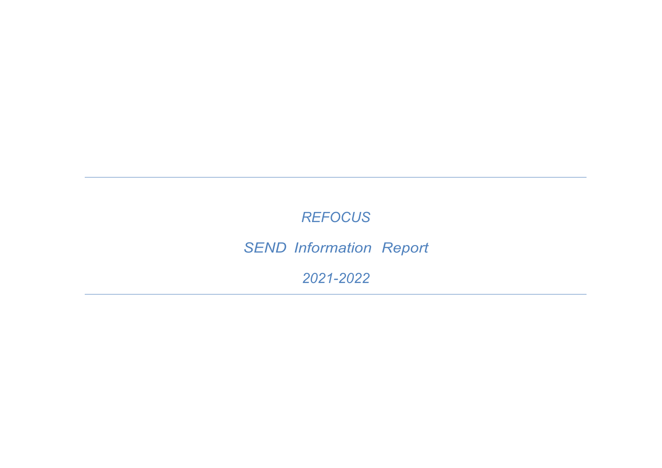## *REFOCUS*

# *SEND Information Report*

*2021-2022*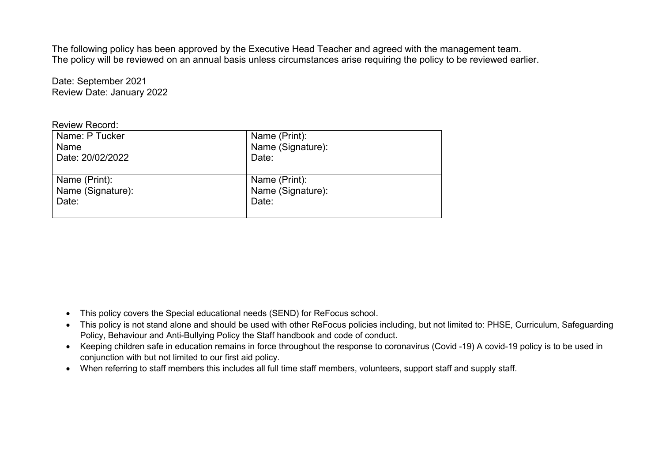The following policy has been approved by the Executive Head Teacher and agreed with the management team. The policy will be reviewed on an annual basis unless circumstances arise requiring the policy to be reviewed earlier.

Date: September 2021 Review Date: January 2022

| <b>Review Record:</b> |
|-----------------------|
|                       |

| Name: P Tucker    | Name (Print):     |
|-------------------|-------------------|
| Name              | Name (Signature): |
| Date: 20/02/2022  | Date:             |
|                   |                   |
| Name (Print):     | Name (Print):     |
| Name (Signature): | Name (Signature): |
| Date:             | Date:             |
|                   |                   |

- This policy covers the Special educational needs (SEND) for ReFocus school.
- This policy is not stand alone and should be used with other ReFocus policies including, but not limited to: PHSE, Curriculum, Safeguarding Policy, Behaviour and Anti-Bullying Policy the Staff handbook and code of conduct.
- Keeping children safe in education remains in force throughout the response to coronavirus (Covid -19) A covid-19 policy is to be used in conjunction with but not limited to our first aid policy.
- When referring to staff members this includes all full time staff members, volunteers, support staff and supply staff.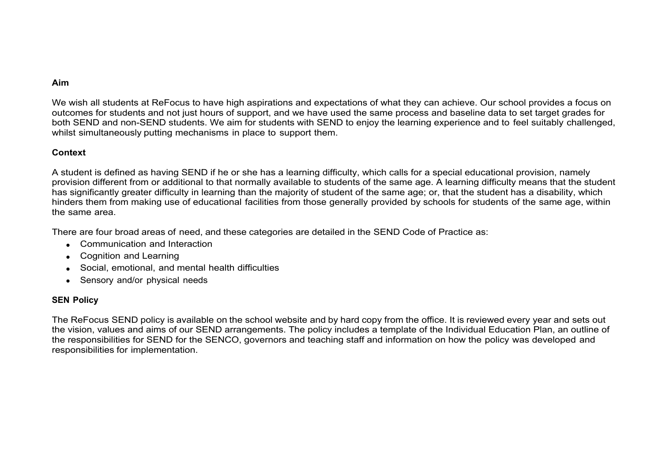#### **Aim**

We wish all students at ReFocus to have high aspirations and expectations of what they can achieve. Our school provides a focus on outcomes for students and not just hours of support, and we have used the same process and baseline data to set target grades for both SEND and non-SEND students. We aim for students with SEND to enjoy the learning experience and to feel suitably challenged, whilst simultaneously putting mechanisms in place to support them.

#### **Context**

A student is defined as having SEND if he or she has a learning difficulty, which calls for a special educational provision, namely provision different from or additional to that normally available to students of the same age. A learning difficulty means that the student has significantly greater difficulty in learning than the majority of student of the same age; or, that the student has a disability, which hinders them from making use of educational facilities from those generally provided by schools for students of the same age, within the same area.

There are four broad areas of need, and these categories are detailed in the SEND Code of Practice as:

- Communication and Interaction
- Cognition and Learning
- Social, emotional, and mental health difficulties
- Sensory and/or physical needs

#### **SEN Policy**

The ReFocus SEND policy is available on the school website and by hard copy from the office. It is reviewed every year and sets out the vision, values and aims of our SEND arrangements. The policy includes a template of the Individual Education Plan, an outline of the responsibilities for SEND for the SENCO, governors and teaching staff and information on how the policy was developed and responsibilities for implementation.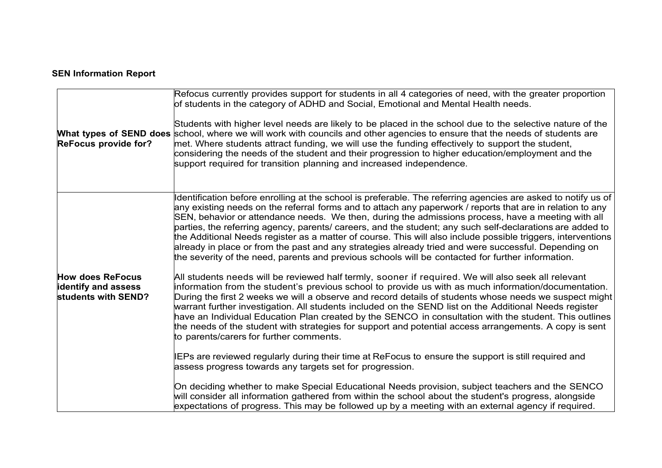### **SEN Information Report**

| <b>ReFocus provide for?</b>                                                  | Refocus currently provides support for students in all 4 categories of need, with the greater proportion<br>of students in the category of ADHD and Social, Emotional and Mental Health needs.<br>Students with higher level needs are likely to be placed in the school due to the selective nature of the<br>What types of SEND does school, where we will work with councils and other agencies to ensure that the needs of students are<br>met. Where students attract funding, we will use the funding effectively to support the student,<br>considering the needs of the student and their progression to higher education/employment and the<br>support required for transition planning and increased independence.                                                |
|------------------------------------------------------------------------------|-----------------------------------------------------------------------------------------------------------------------------------------------------------------------------------------------------------------------------------------------------------------------------------------------------------------------------------------------------------------------------------------------------------------------------------------------------------------------------------------------------------------------------------------------------------------------------------------------------------------------------------------------------------------------------------------------------------------------------------------------------------------------------|
|                                                                              | Identification before enrolling at the school is preferable. The referring agencies are asked to notify us of<br>any existing needs on the referral forms and to attach any paperwork / reports that are in relation to any<br>SEN, behavior or attendance needs. We then, during the admissions process, have a meeting with all<br>parties, the referring agency, parents/ careers, and the student; any such self-declarations are added to<br>the Additional Needs register as a matter of course. This will also include possible triggers, interventions<br>already in place or from the past and any strategies already tried and were successful. Depending on<br>the severity of the need, parents and previous schools will be contacted for further information. |
| <b>How does ReFocus</b><br><b>identify and assess</b><br>students with SEND? | All students needs will be reviewed half termly, sooner if required. We will also seek all relevant<br>information from the student's previous school to provide us with as much information/documentation.<br>During the first 2 weeks we will a observe and record details of students whose needs we suspect might<br>warrant further investigation. All students included on the SEND list on the Additional Needs register<br>have an Individual Education Plan created by the SENCO in consultation with the student. This outlines<br>the needs of the student with strategies for support and potential access arrangements. A copy is sent<br>to parents/carers for further comments.                                                                              |
|                                                                              | IEPs are reviewed regularly during their time at ReFocus to ensure the support is still required and<br>assess progress towards any targets set for progression.<br>On deciding whether to make Special Educational Needs provision, subject teachers and the SENCO<br>will consider all information gathered from within the school about the student's progress, alongside<br>expectations of progress. This may be followed up by a meeting with an external agency if required.                                                                                                                                                                                                                                                                                         |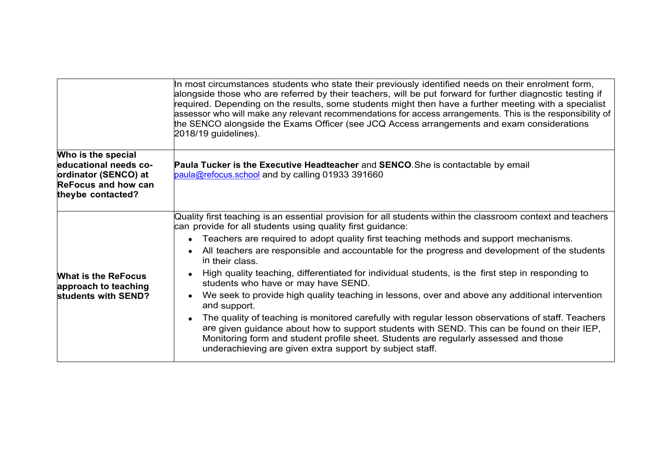|                                                                                                                        | In most circumstances students who state their previously identified needs on their enrolment form,<br>alongside those who are referred by their teachers, will be put forward for further diagnostic testing if<br>required. Depending on the results, some students might then have a further meeting with a specialist<br>assessor who will make any relevant recommendations for access arrangements. This is the responsibility of<br>the SENCO alongside the Exams Officer (see JCQ Access arrangements and exam considerations<br>2018/19 guidelines).                                                                                                                                                                                                                                                                                                                                                                                                                                                  |
|------------------------------------------------------------------------------------------------------------------------|----------------------------------------------------------------------------------------------------------------------------------------------------------------------------------------------------------------------------------------------------------------------------------------------------------------------------------------------------------------------------------------------------------------------------------------------------------------------------------------------------------------------------------------------------------------------------------------------------------------------------------------------------------------------------------------------------------------------------------------------------------------------------------------------------------------------------------------------------------------------------------------------------------------------------------------------------------------------------------------------------------------|
| Who is the special<br>educational needs co-<br>ordinator (SENCO) at<br><b>ReFocus and how can</b><br>theybe contacted? | Paula Tucker is the Executive Headteacher and SENCO. She is contactable by email<br>paula@refocus.school and by calling 01933 391660                                                                                                                                                                                                                                                                                                                                                                                                                                                                                                                                                                                                                                                                                                                                                                                                                                                                           |
| <b>What is the ReFocus</b><br>approach to teaching<br>students with SEND?                                              | Quality first teaching is an essential provision for all students within the classroom context and teachers<br>can provide for all students using quality first guidance:<br>Teachers are required to adopt quality first teaching methods and support mechanisms.<br>All teachers are responsible and accountable for the progress and development of the students<br>in their class.<br>High quality teaching, differentiated for individual students, is the first step in responding to<br>students who have or may have SEND.<br>We seek to provide high quality teaching in lessons, over and above any additional intervention<br>and support.<br>The quality of teaching is monitored carefully with regular lesson observations of staff. Teachers<br>are given guidance about how to support students with SEND. This can be found on their IEP,<br>Monitoring form and student profile sheet. Students are regularly assessed and those<br>underachieving are given extra support by subject staff. |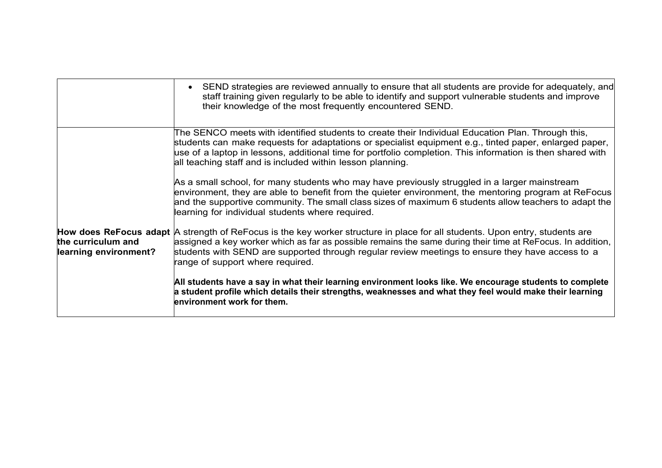|                                             | • SEND strategies are reviewed annually to ensure that all students are provide for adequately, and<br>staff training given regularly to be able to identify and support vulnerable students and improve<br>their knowledge of the most frequently encountered SEND.                                                                                                                    |
|---------------------------------------------|-----------------------------------------------------------------------------------------------------------------------------------------------------------------------------------------------------------------------------------------------------------------------------------------------------------------------------------------------------------------------------------------|
|                                             | The SENCO meets with identified students to create their Individual Education Plan. Through this,<br>students can make requests for adaptations or specialist equipment e.g., tinted paper, enlarged paper,<br>use of a laptop in lessons, additional time for portfolio completion. This information is then shared with<br>all teaching staff and is included within lesson planning. |
|                                             | As a small school, for many students who may have previously struggled in a larger mainstream<br>environment, they are able to benefit from the quieter environment, the mentoring program at ReFocus<br>and the supportive community. The small class sizes of maximum 6 students allow teachers to adapt the<br>learning for individual students where required.                      |
| the curriculum and<br>learning environment? | How does ReFocus adapt A strength of ReFocus is the key worker structure in place for all students. Upon entry, students are<br>assigned a key worker which as far as possible remains the same during their time at ReFocus. In addition,<br>students with SEND are supported through regular review meetings to ensure they have access to a<br>range of support where required.      |
|                                             | All students have a say in what their learning environment looks like. We encourage students to complete<br>$\bm{{\mathsf{a}}}$ student profile which details their strengths, weaknesses and what they feel would make their learning<br>environment work for them.                                                                                                                    |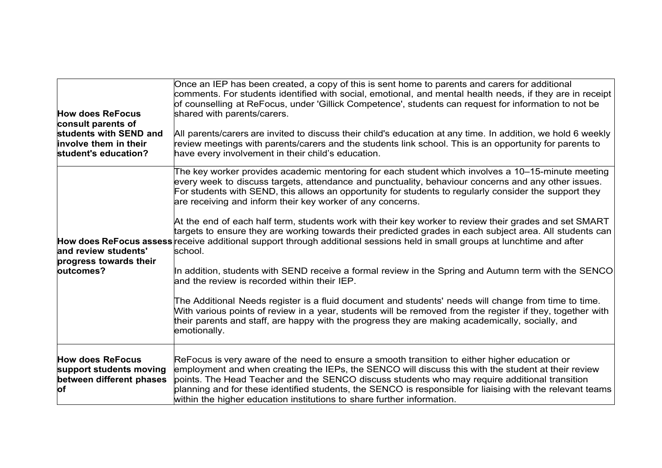| <b>How does ReFocus</b><br>consult parents of<br>students with SEND and<br>involve them in their<br>student's education? | Once an IEP has been created, a copy of this is sent home to parents and carers for additional<br>comments. For students identified with social, emotional, and mental health needs, if they are in receipt<br>of counselling at ReFocus, under 'Gillick Competence', students can request for information to not be<br>shared with parents/carers.<br>All parents/carers are invited to discuss their child's education at any time. In addition, we hold 6 weekly<br>review meetings with parents/carers and the students link school. This is an opportunity for parents to<br>have every involvement in their child's education.                                                                                                                                                                                                                                                                    |
|--------------------------------------------------------------------------------------------------------------------------|---------------------------------------------------------------------------------------------------------------------------------------------------------------------------------------------------------------------------------------------------------------------------------------------------------------------------------------------------------------------------------------------------------------------------------------------------------------------------------------------------------------------------------------------------------------------------------------------------------------------------------------------------------------------------------------------------------------------------------------------------------------------------------------------------------------------------------------------------------------------------------------------------------|
| and review students'<br>progress towards their<br>loutcomes?                                                             | The key worker provides academic mentoring for each student which involves a 10–15-minute meeting<br>every week to discuss targets, attendance and punctuality, behaviour concerns and any other issues.<br>For students with SEND, this allows an opportunity for students to regularly consider the support they<br>are receiving and inform their key worker of any concerns.<br>At the end of each half term, students work with their key worker to review their grades and set SMART<br>targets to ensure they are working towards their predicted grades in each subject area. All students can<br>How does ReFocus assess receive additional support through additional sessions held in small groups at lunchtime and after<br>school.<br>In addition, students with SEND receive a formal review in the Spring and Autumn term with the SENCO<br>and the review is recorded within their IEP. |
|                                                                                                                          | The Additional Needs register is a fluid document and students' needs will change from time to time.<br>With various points of review in a year, students will be removed from the register if they, together with<br>their parents and staff, are happy with the progress they are making academically, socially, and<br>emotionally.                                                                                                                                                                                                                                                                                                                                                                                                                                                                                                                                                                  |
| <b>How does ReFocus</b><br>support students moving<br>between different phases<br>lof                                    | ReFocus is very aware of the need to ensure a smooth transition to either higher education or<br>employment and when creating the IEPs, the SENCO will discuss this with the student at their review<br>points. The Head Teacher and the SENCO discuss students who may require additional transition<br>planning and for these identified students, the SENCO is responsible for liaising with the relevant teams<br>within the higher education institutions to share further information.                                                                                                                                                                                                                                                                                                                                                                                                            |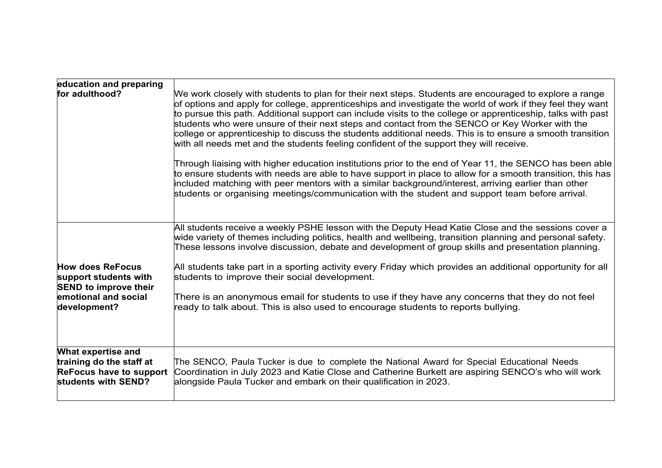| education and preparing<br>for adulthood?                                                                                | We work closely with students to plan for their next steps. Students are encouraged to explore a range<br>of options and apply for college, apprenticeships and investigate the world of work if they feel they want<br>to pursue this path. Additional support can include visits to the college or apprenticeship, talks with past<br>students who were unsure of their next steps and contact from the SENCO or Key Worker with the<br>college or apprenticeship to discuss the students additional needs. This is to ensure a smooth transition<br>with all needs met and the students feeling confident of the support they will receive.<br>Through liaising with higher education institutions prior to the end of Year 11, the SENCO has been able<br>to ensure students with needs are able to have support in place to allow for a smooth transition, this has<br>included matching with peer mentors with a similar background/interest, arriving earlier than other |
|--------------------------------------------------------------------------------------------------------------------------|---------------------------------------------------------------------------------------------------------------------------------------------------------------------------------------------------------------------------------------------------------------------------------------------------------------------------------------------------------------------------------------------------------------------------------------------------------------------------------------------------------------------------------------------------------------------------------------------------------------------------------------------------------------------------------------------------------------------------------------------------------------------------------------------------------------------------------------------------------------------------------------------------------------------------------------------------------------------------------|
| <b>How does ReFocus</b><br>support students with<br><b>SEND to improve their</b><br>emotional and social<br>development? | students or organising meetings/communication with the student and support team before arrival.<br>All students receive a weekly PSHE lesson with the Deputy Head Katie Close and the sessions cover a<br>wide variety of themes including politics, health and wellbeing, transition planning and personal safety.<br>These lessons involve discussion, debate and development of group skills and presentation planning.<br>All students take part in a sporting activity every Friday which provides an additional opportunity for all<br>students to improve their social development.<br>There is an anonymous email for students to use if they have any concerns that they do not feel<br>ready to talk about. This is also used to encourage students to reports bullying.                                                                                                                                                                                              |
| What expertise and<br>training do the staff at<br><b>ReFocus have to support</b><br>students with SEND?                  | The SENCO, Paula Tucker is due to complete the National Award for Special Educational Needs<br>Coordination in July 2023 and Katie Close and Catherine Burkett are aspiring SENCO's who will work<br>alongside Paula Tucker and embark on their qualification in 2023.                                                                                                                                                                                                                                                                                                                                                                                                                                                                                                                                                                                                                                                                                                          |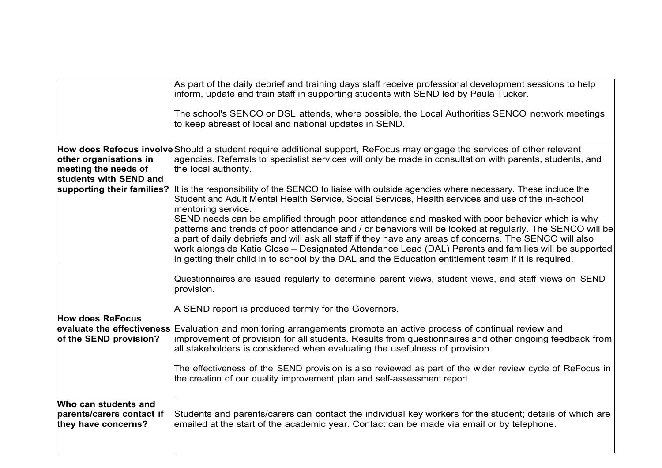|                                                                          | As part of the daily debrief and training days staff receive professional development sessions to help<br>inform, update and train staff in supporting students with SEND led by Paula Tucker.                                                                                                                                                                                                                                                     |
|--------------------------------------------------------------------------|----------------------------------------------------------------------------------------------------------------------------------------------------------------------------------------------------------------------------------------------------------------------------------------------------------------------------------------------------------------------------------------------------------------------------------------------------|
|                                                                          | The school's SENCO or DSL attends, where possible, the Local Authorities SENCO network meetings<br>to keep abreast of local and national updates in SEND.                                                                                                                                                                                                                                                                                          |
| other organisations in<br>meeting the needs of<br>students with SEND and | How does Refocus involve Should a student require additional support, ReFocus may engage the services of other relevant<br>agencies. Referrals to specialist services will only be made in consultation with parents, students, and<br>the local authority.                                                                                                                                                                                        |
| supporting their families?                                               | It is the responsibility of the SENCO to liaise with outside agencies where necessary. These include the<br>Student and Adult Mental Health Service, Social Services, Health services and use of the in-school<br>mentoring service.<br>SEND needs can be amplified through poor attendance and masked with poor behavior which is why<br>patterns and trends of poor attendance and / or behaviors will be looked at regularly. The SENCO will be |
|                                                                          | a part of daily debriefs and will ask all staff if they have any areas of concerns. The SENCO will also<br>work alongside Katie Close – Designated Attendance Lead (DAL) Parents and families will be supported<br>in getting their child in to school by the DAL and the Education entitlement team if it is required.                                                                                                                            |
|                                                                          | Questionnaires are issued regularly to determine parent views, student views, and staff views on SEND<br>provision.                                                                                                                                                                                                                                                                                                                                |
| <b>How does ReFocus</b><br>of the SEND provision?                        | A SEND report is produced termly for the Governors.<br>evaluate the effectiveness Evaluation and monitoring arrangements promote an active process of continual review and<br>improvement of provision for all students. Results from questionnaires and other ongoing feedback from<br>all stakeholders is considered when evaluating the usefulness of provision.                                                                                |
|                                                                          | The effectiveness of the SEND provision is also reviewed as part of the wider review cycle of ReFocus in<br>the creation of our quality improvement plan and self-assessment report.                                                                                                                                                                                                                                                               |
| Who can students and<br>parents/carers contact if<br>they have concerns? | Students and parents/carers can contact the individual key workers for the student; details of which are<br>emailed at the start of the academic year. Contact can be made via email or by telephone.                                                                                                                                                                                                                                              |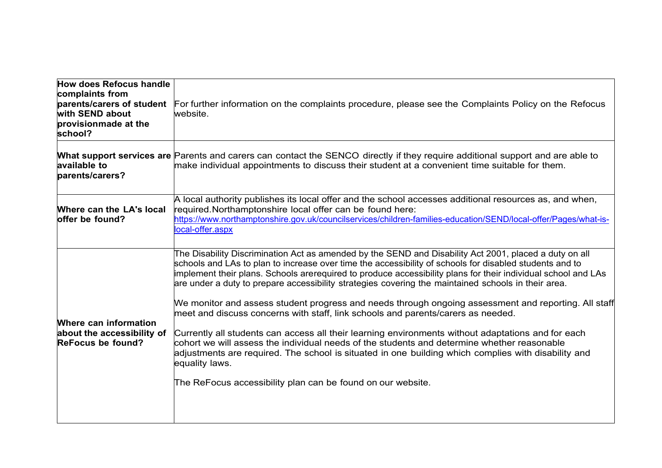| <b>How does Refocus handle</b><br>complaints from<br>parents/carers of student<br>with SEND about<br>provisionmade at the<br>school? | For further information on the complaints procedure, please see the Complaints Policy on the Refocus<br>website.                                                                                                                                                                                                                                                                                                                                                                                                                                                                                                                                                                                                                                                                                                                                                                                                                                                                                                                            |
|--------------------------------------------------------------------------------------------------------------------------------------|---------------------------------------------------------------------------------------------------------------------------------------------------------------------------------------------------------------------------------------------------------------------------------------------------------------------------------------------------------------------------------------------------------------------------------------------------------------------------------------------------------------------------------------------------------------------------------------------------------------------------------------------------------------------------------------------------------------------------------------------------------------------------------------------------------------------------------------------------------------------------------------------------------------------------------------------------------------------------------------------------------------------------------------------|
| available to<br>parents/carers?                                                                                                      | What support services are Parents and carers can contact the SENCO directly if they require additional support and are able to<br>make individual appointments to discuss their student at a convenient time suitable for them.                                                                                                                                                                                                                                                                                                                                                                                                                                                                                                                                                                                                                                                                                                                                                                                                             |
| Where can the LA's local<br>offer be found?                                                                                          | A local authority publishes its local offer and the school accesses additional resources as, and when,<br>required.Northamptonshire local offer can be found here:<br>https://www.northamptonshire.gov.uk/councilservices/children-families-education/SEND/local-offer/Pages/what-is-<br>local-offer.aspx                                                                                                                                                                                                                                                                                                                                                                                                                                                                                                                                                                                                                                                                                                                                   |
| Where can information<br>about the accessibility of<br>ReFocus be found?                                                             | The Disability Discrimination Act as amended by the SEND and Disability Act 2001, placed a duty on all<br>schools and LAs to plan to increase over time the accessibility of schools for disabled students and to<br>implement their plans. Schools arerequired to produce accessibility plans for their individual school and LAs<br>are under a duty to prepare accessibility strategies covering the maintained schools in their area.<br>We monitor and assess student progress and needs through ongoing assessment and reporting. All staff<br>meet and discuss concerns with staff, link schools and parents/carers as needed.<br>Currently all students can access all their learning environments without adaptations and for each<br>$\alpha$ cohort we will assess the individual needs of the students and determine whether reasonable<br>adjustments are required. The school is situated in one building which complies with disability and<br>equality laws.<br>The ReFocus accessibility plan can be found on our website. |